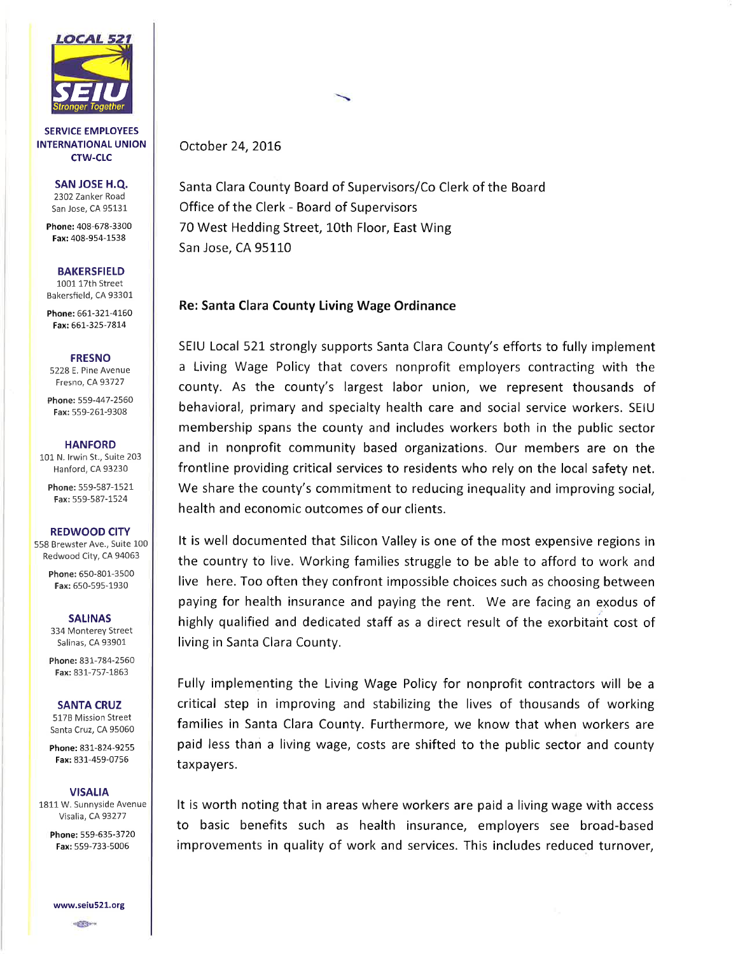

SERVICE EMPLOYEES INTERNATIONAL UNION CTW-CLC

> SAN JOSE H.Q. 2302 Zanker Road San Jose, CA 95131

Phone: 408-678-3300 Fax: 408-954-1538

**BAKERSFIELD** 

1001 171h Street Bakersfield, CA 93301

Phone: 661-321-4160 Fax: 661-325-7814

### **FRESNO**

5228 E. Pine Avenue Fresno, CA93727

Phone: 559-447-2560 Fax: 559-261-9308

#### **HANFORD**

101 N. lrwin St., Suite 203 Hanford, CA 93230

Phone: 559-587-1521 Fax: 559-587-1524

## REDWOOD CITY

558 Brewster Ave., Suite 100 Redwood City, CA 94063

> Phone: 650-801-3500 Fax: 650-595-1930

#### SALINAS

334 Monterey Street Salinas, CA 93901

Phone: 831-784-2560 Fax: 831-757-1863

### SANTA CRUZ

5178 Mission Street Santa Cruz, CA 95060

Phone: 831-824-9255 Fax: 831-459-0756

### **VISALIA**

1811 W. Sunnyside Avenue Visalia, CA 93277

Phone: 559-635-3720 Fax: 559-733-5006

www.seiu521.org

æ\*

# October 24, 2016

Santa Clara County Board of Supervisors/Co Clerk of the Board Office of the Clerk - Board of Supervisors 70 West Hedding Street, 10th Floor, East Wing San Jose, CA 95110

# Re: Santa Clara County Living Wage Ordinance

SEIU Local 521 strongly supports Santa Clara County's efforts to fully implement a Living Wage Policy that covers nonprofit employers contracting with the county. As the county's largest labor union, we represent thousands of behavioral, primary and specialty health care and social service workers. SEIU membership spans the county and includes workers both in the public sector and in nonprofit community based organizations. Our members are on the frontline providing critical services to residents who rely on the local safety net. We share the county's commitment to reducing inequality and improving social, health and economic outcomes of our clients.

It is well documented that Silicon Valley is one of the most expensive regions in the country to live. Working families struggle to be able to afford to work and live here. Too often they confront impossible choices such as choosing between paying for health insurance and paying the rent. We are facing an exodus of highly qualified and dedicated staff as a direct result of the exorbitaht cost of living in Santa Clara County.

Fully implementing the Living Wage Policy for nonprofit contractors will be <sup>a</sup> critical step in improving and stabilizing the lives of thousands of working families in Santa Clara County. Furthermore, we know that when workers are paid less than a living wage, costs are shifted to the public sector and county taxpayers.

It is worth noting that in areas where workers are paid a living wage with access to basic benefits such as health insurance, employers see broad-based improvements in quality of work and services. This includes reduced turnover,